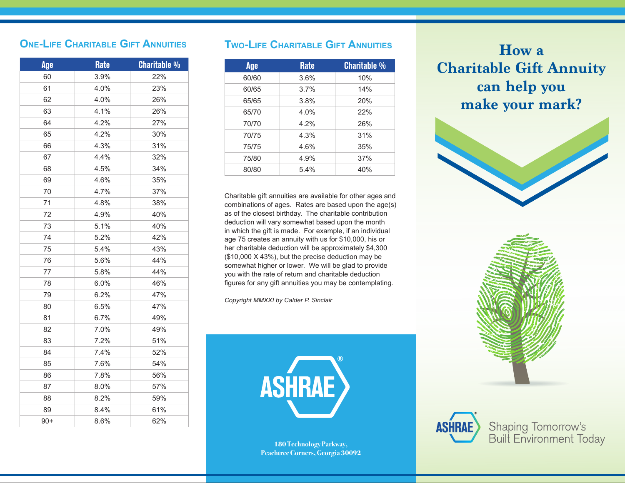## **One-Life Charitable Gift Annuities**

| Age   | <b>Rate</b> | <b>Charitable %</b> |
|-------|-------------|---------------------|
| 60    | 3.9%        | 22%                 |
| 61    | 4.0%        | 23%                 |
| 62    | 4.0%        | 26%                 |
| 63    | 4.1%        | 26%                 |
| 64    | 4.2%        | 27%                 |
| 65    | 4.2%        | 30%                 |
| 66    | 4.3%        | 31%                 |
| 67    | 4.4%        | 32%                 |
| 68    | 4.5%        | 34%                 |
| 69    | 4.6%        | 35%                 |
| 70    | 4.7%        | 37%                 |
| 71    | 4.8%        | 38%                 |
| 72    | 4.9%        | 40%                 |
| 73    | 5.1%        | 40%                 |
| 74    | 5.2%        | 42%                 |
| 75    | 5.4%        | 43%                 |
| 76    | 5.6%        | 44%                 |
| 77    | 5.8%        | 44%                 |
| 78    | 6.0%        | 46%                 |
| 79    | 6.2%        | 47%                 |
| 80    | 6.5%        | 47%                 |
| 81    | 6.7%        | 49%                 |
| 82    | 7.0%        | 49%                 |
| 83    | 7.2%        | 51%                 |
| 84    | 7.4%        | 52%                 |
| 85    | 7.6%        | 54%                 |
| 86    | 7.8%        | 56%                 |
| 87    | 8.0%        | 57%                 |
| 88    | 8.2%        | 59%                 |
| 89    | 8.4%        | 61%                 |
| $90+$ | 8.6%        | 62%                 |

## **Two-Life Charitable Gift Annuities**

| I WO-LIFE CHARITABLE GIFT ANNUITIES |             |                     |
|-------------------------------------|-------------|---------------------|
| Age                                 | <b>Rate</b> | <b>Charitable %</b> |
| 60/60                               | 3.6%        | 10%                 |
| 60/65                               | 3.7%        | 14%                 |
| 65/65                               | 3.8%        | 20%                 |
| 65/70                               | 4.0%        | 22%                 |
| 70/70                               | 4.2%        | 26%                 |
| 70/75                               | 4.3%        | 31%                 |
| 75/75                               | 4.6%        | 35%                 |
| 75/80                               | 4.9%        | 37%                 |
| 80/80                               | 5.4%        | 40%                 |

If Mail Mail Contract with the assumed. The Contract with the assumed. The Contract of Mail panel. The Contract of Mail Contract of Mail Contract of Mail Contract of Mail Contract of Mail Contract of Mail Contract of Mail Charitable gift annuities are available for other ages and combinations of ages. Rates are based upon the age(s) as of the closest birthday. The charitable contribution deduction will vary somewhat based upon the month in which the gift is made. For example, if an individual age 75 creates an annuity with us for \$10,000, his or her charitable deduction will be approximately \$4,300 (\$10,000 X 43%), but the precise deduction may be somewhat higher or lower. We will be glad to provide you with the rate of return and charitable deduction figures for any gift annuities you may be contemplating.

*Copyright MMXXI by Calder P. Sinclair*



Peachtree Corners, Georgia <mark>30092</mark> **180 Technology Parkway,** 

make your mark? **How a Charitable Gift Annuity can help you**







Shaping Tomorrow's<br>Built Environment Today